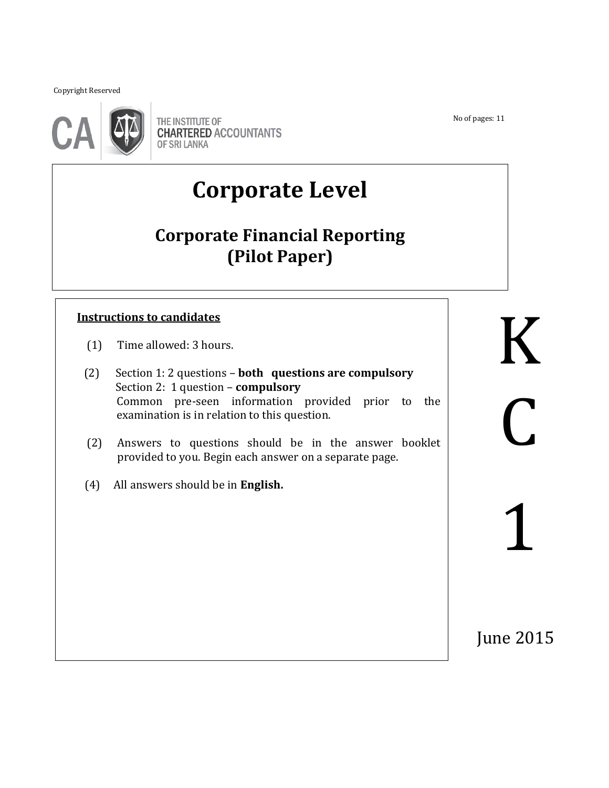Copyright Reserved

֖֖֚֚֚֬



THE INSTITUTE OF **CHARTERED ACCOUNTANTS OF SRI LANKA** 

# **Corporate Level**

## **Corporate Financial Reporting (Pilot Paper)**

### **Instructions to candidates**

- (1) Time allowed: 3 hours.
- (2) Section 1: 2 questions **both questions are compulsory** Section 2: 1 question – **compulsory** Common pre-seen information provided prior to the examination is in relation to this question. Instructions to candidates<br>
(1) Time allowed: 3 hours.<br>
(2) Section 1: 2 questions – both questions are compulsory

֖֖֚֚֚֬֝֬֝֬

- (2) Answers to questions should be in the answer booklet provided to you. Begin each answer on a separate page.
- (4) All answers should be in **English.**

No of pages: 11

 $\overline{C}$ 1

June 2015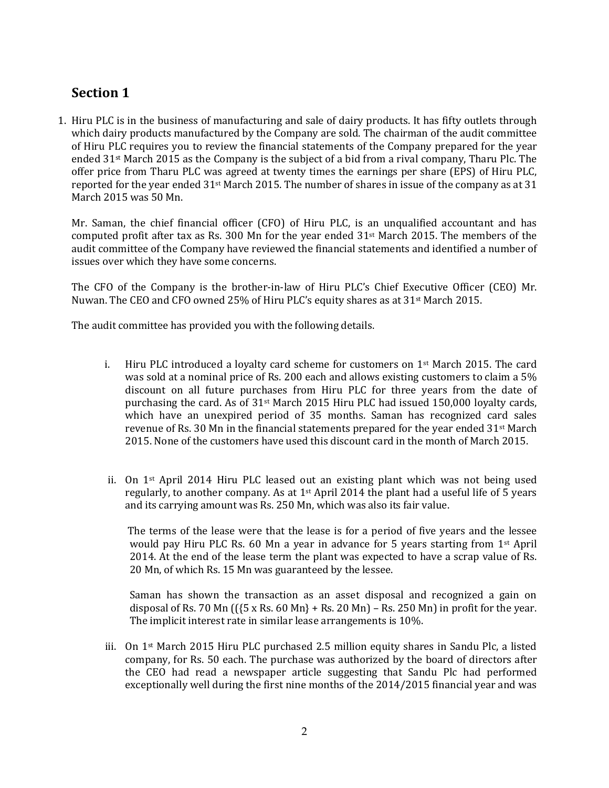## **Section 1**

1. Hiru PLC is in the business of manufacturing and sale of dairy products. It has fifty outlets through which dairy products manufactured by the Company are sold. The chairman of the audit committee of Hiru PLC requires you to review the financial statements of the Company prepared for the year ended 31st March 2015 as the Company is the subject of a bid from a rival company, Tharu Plc. The offer price from Tharu PLC was agreed at twenty times the earnings per share (EPS) of Hiru PLC, reported for the year ended 31st March 2015. The number of shares in issue of the company as at 31 March 2015 was 50 Mn.

Mr. Saman, the chief financial officer (CFO) of Hiru PLC, is an unqualified accountant and has computed profit after tax as Rs. 300 Mn for the year ended 31st March 2015. The members of the audit committee of the Company have reviewed the financial statements and identified a number of issues over which they have some concerns.

The CFO of the Company is the brother-in-law of Hiru PLC's Chief Executive Officer (CEO) Mr. Nuwan. The CEO and CFO owned 25% of Hiru PLC's equity shares as at 31st March 2015.

The audit committee has provided you with the following details.

- i. Hiru PLC introduced a loyalty card scheme for customers on  $1<sup>st</sup>$  March 2015. The card was sold at a nominal price of Rs. 200 each and allows existing customers to claim a 5% discount on all future purchases from Hiru PLC for three years from the date of purchasing the card. As of  $31<sup>st</sup>$  March 2015 Hiru PLC had issued 150,000 loyalty cards, which have an unexpired period of 35 months. Saman has recognized card sales revenue of Rs. 30 Mn in the financial statements prepared for the year ended  $31<sup>st</sup>$  March 2015. None of the customers have used this discount card in the month of March 2015.
- ii. On 1st April 2014 Hiru PLC leased out an existing plant which was not being used regularly, to another company. As at 1st April 2014 the plant had a useful life of 5 years and its carrying amount was Rs. 250 Mn, which was also its fair value.

The terms of the lease were that the lease is for a period of five years and the lessee would pay Hiru PLC Rs. 60 Mn a year in advance for 5 years starting from  $1<sup>st</sup>$  April 2014. At the end of the lease term the plant was expected to have a scrap value of Rs. 20 Mn, of which Rs. 15 Mn was guaranteed by the lessee.

Saman has shown the transaction as an asset disposal and recognized a gain on disposal of Rs. 70 Mn  $({5 \times Rs. 60 Mn} + Rs. 20 Mn) - Rs. 250 Mn)$  in profit for the year. The implicit interest rate in similar lease arrangements is 10%.

iii. On 1st March 2015 Hiru PLC purchased 2.5 million equity shares in Sandu Plc, a listed company, for Rs. 50 each. The purchase was authorized by the board of directors after the CEO had read a newspaper article suggesting that Sandu Plc had performed exceptionally well during the first nine months of the 2014/2015 financial year and was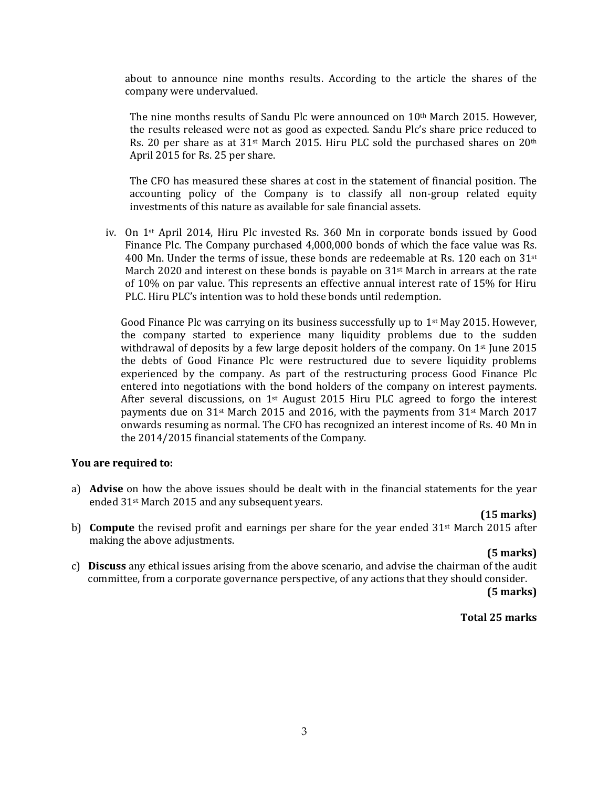about to announce nine months results. According to the article the shares of the company were undervalued.

The nine months results of Sandu Plc were announced on 10<sup>th</sup> March 2015. However, the results released were not as good as expected. Sandu Plc's share price reduced to Rs. 20 per share as at 31<sup>st</sup> March 2015. Hiru PLC sold the purchased shares on 20<sup>th</sup> April 2015 for Rs. 25 per share.

The CFO has measured these shares at cost in the statement of financial position. The accounting policy of the Company is to classify all non-group related equity investments of this nature as available for sale financial assets.

iv. On 1st April 2014, Hiru Plc invested Rs. 360 Mn in corporate bonds issued by Good Finance Plc. The Company purchased 4,000,000 bonds of which the face value was Rs. 400 Mn. Under the terms of issue, these bonds are redeemable at Rs. 120 each on  $31^{st}$ March 2020 and interest on these bonds is payable on  $31<sup>st</sup>$  March in arrears at the rate of 10% on par value. This represents an effective annual interest rate of 15% for Hiru PLC. Hiru PLC's intention was to hold these bonds until redemption.

Good Finance Plc was carrying on its business successfully up to  $1<sup>st</sup>$  May 2015. However, the company started to experience many liquidity problems due to the sudden withdrawal of deposits by a few large deposit holders of the company. On  $1<sup>st</sup>$  June 2015 the debts of Good Finance Plc were restructured due to severe liquidity problems experienced by the company. As part of the restructuring process Good Finance Plc entered into negotiations with the bond holders of the company on interest payments. After several discussions, on 1<sup>st</sup> August 2015 Hiru PLC agreed to forgo the interest payments due on 31st March 2015 and 2016, with the payments from 31st March 2017 onwards resuming as normal. The CFO has recognized an interest income of Rs. 40 Mn in the 2014/2015 financial statements of the Company.

#### **You are required to:**

a) **Advise** on how the above issues should be dealt with in the financial statements for the year ended 31st March 2015 and any subsequent years.

#### **(15 marks)**

b) **Compute** the revised profit and earnings per share for the year ended 31<sup>st</sup> March 2015 after making the above adjustments.

#### **(5 marks)**

c) **Discuss** any ethical issues arising from the above scenario, and advise the chairman of the audit committee, from a corporate governance perspective, of any actions that they should consider.

 **(5 marks)**

#### **Total 25 marks**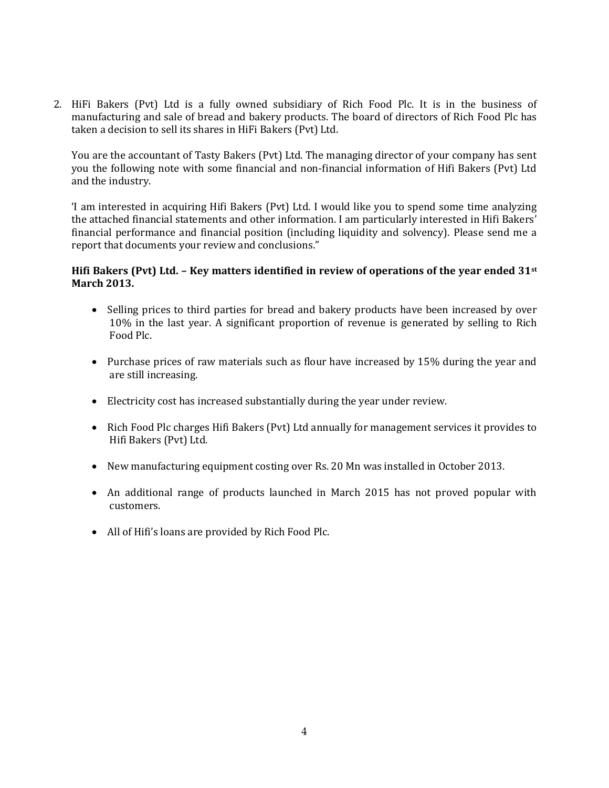2. HiFi Bakers (Pvt) Ltd is a fully owned subsidiary of Rich Food Plc. It is in the business of manufacturing and sale of bread and bakery products. The board of directors of Rich Food Plc has taken a decision to sell its shares in HiFi Bakers (Pvt) Ltd.

You are the accountant of Tasty Bakers (Pvt) Ltd. The managing director of your company has sent you the following note with some financial and non-financial information of Hifi Bakers (Pvt) Ltd and the industry.

'I am interested in acquiring Hifi Bakers (Pvt) Ltd. I would like you to spend some time analyzing the attached financial statements and other information. I am particularly interested in Hifi Bakers' financial performance and financial position (including liquidity and solvency). Please send me a report that documents your review and conclusions."

#### **Hifi Bakers (Pvt) Ltd. – Key matters identified in review of operations of the year ended 31st March 2013.**

- Selling prices to third parties for bread and bakery products have been increased by over 10% in the last year. A significant proportion of revenue is generated by selling to Rich Food Plc.
- Purchase prices of raw materials such as flour have increased by 15% during the year and are still increasing.
- Electricity cost has increased substantially during the year under review.
- Rich Food Plc charges Hifi Bakers (Pvt) Ltd annually for management services it provides to Hifi Bakers (Pvt) Ltd.
- New manufacturing equipment costing over Rs. 20 Mn was installed in October 2013.
- An additional range of products launched in March 2015 has not proved popular with customers.
- All of Hifi's loans are provided by Rich Food Plc.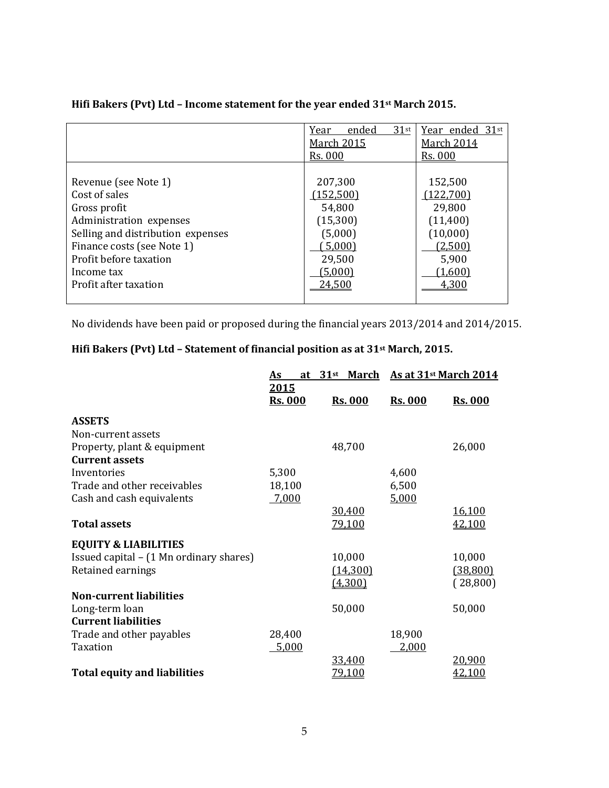|                                   | $31$ st<br>Year<br>ended | Year ended 31st |  |
|-----------------------------------|--------------------------|-----------------|--|
|                                   | <b>March 2015</b>        | March 2014      |  |
|                                   | <b>Rs. 000</b>           | <b>Rs. 000</b>  |  |
|                                   |                          |                 |  |
| Revenue (see Note 1)              | 207,300                  | 152,500         |  |
| Cost of sales                     | (152,500)                | (122,700)       |  |
| Gross profit                      | 54,800                   | 29,800          |  |
| Administration expenses           | (15,300)                 | (11,400)        |  |
| Selling and distribution expenses | (5,000)                  | (10,000)        |  |
| Finance costs (see Note 1)        | 5,000                    | (2,500)         |  |
| Profit before taxation            | 29,500                   | 5,900           |  |
| Income tax                        | (5,000)                  | (1,600)         |  |
| Profit after taxation             | 24,500                   | 4,300           |  |
|                                   |                          |                 |  |

#### **Hifi Bakers (Pvt) Ltd – Income statement for the year ended 31st March 2015.**

No dividends have been paid or proposed during the financial years 2013/2014 and 2014/2015.

## **Hifi Bakers (Pvt) Ltd – Statement of financial position as at 31st March, 2015.**

|                                         | <u>As</u>              | at 31 <sup>st</sup> March As at 31 <sup>st</sup> March 2014 |                |                |
|-----------------------------------------|------------------------|-------------------------------------------------------------|----------------|----------------|
|                                         | 2015<br><b>Rs. 000</b> | <b>Rs. 000</b>                                              | <b>Rs. 000</b> | <b>Rs. 000</b> |
| <b>ASSETS</b>                           |                        |                                                             |                |                |
| Non-current assets                      |                        |                                                             |                |                |
| Property, plant & equipment             |                        | 48,700                                                      |                | 26,000         |
| <b>Current assets</b>                   |                        |                                                             |                |                |
| Inventories                             | 5,300                  |                                                             | 4,600          |                |
| Trade and other receivables             | 18,100                 |                                                             | 6,500          |                |
| Cash and cash equivalents               | 7,000                  |                                                             | 5,000          |                |
|                                         |                        | 30.400                                                      |                | 16,100         |
| <b>Total assets</b>                     |                        | 79,100                                                      |                | 42,100         |
| <b>EQUITY &amp; LIABILITIES</b>         |                        |                                                             |                |                |
| Issued capital – (1 Mn ordinary shares) |                        | 10,000                                                      |                | 10,000         |
| Retained earnings                       |                        | (14,300)                                                    |                | (38, 800)      |
|                                         |                        | (4,300)                                                     |                | (28,800)       |
| <b>Non-current liabilities</b>          |                        |                                                             |                |                |
| Long-term loan                          |                        | 50,000                                                      |                | 50,000         |
| <b>Current liabilities</b>              |                        |                                                             |                |                |
| Trade and other payables                | 28,400                 |                                                             | 18,900         |                |
| Taxation                                | 5,000                  |                                                             | 2,000          |                |
|                                         |                        | 33,400                                                      |                | 20,900         |
| <b>Total equity and liabilities</b>     |                        | 79,100                                                      |                | 42,100         |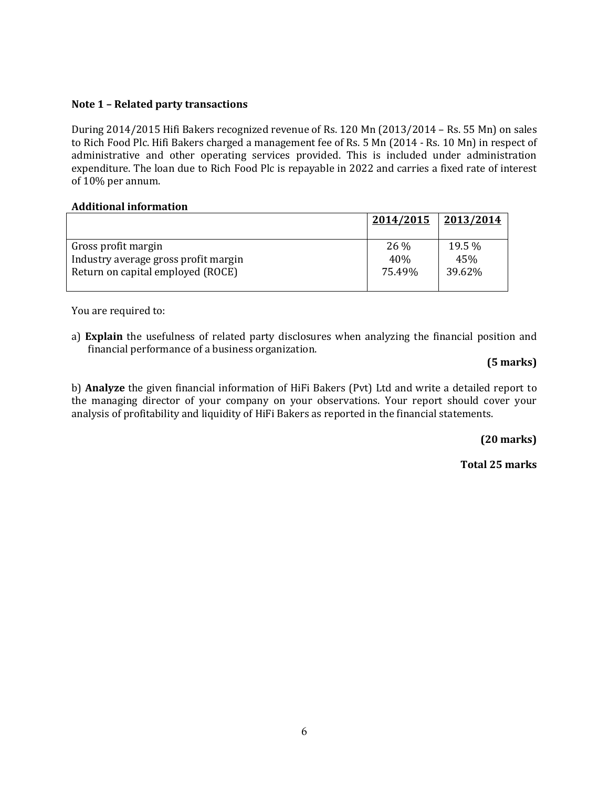#### **Note 1 – Related party transactions**

During 2014/2015 Hifi Bakers recognized revenue of Rs. 120 Mn (2013/2014 – Rs. 55 Mn) on sales to Rich Food Plc. Hifi Bakers charged a management fee of Rs. 5 Mn (2014 - Rs. 10 Mn) in respect of administrative and other operating services provided. This is included under administration expenditure. The loan due to Rich Food Plc is repayable in 2022 and carries a fixed rate of interest of 10% per annum.

#### **Additional information**

|                                      | 2014/2015 | 2013/2014 |
|--------------------------------------|-----------|-----------|
| Gross profit margin                  | 26 %      | 19.5 %    |
| Industry average gross profit margin | 40%       | 45%       |
| Return on capital employed (ROCE)    | 75.49%    | 39.62%    |

You are required to:

a) **Explain** the usefulness of related party disclosures when analyzing the financial position and financial performance of a business organization.

#### **(5 marks)**

b) **Analyze** the given financial information of HiFi Bakers (Pvt) Ltd and write a detailed report to the managing director of your company on your observations. Your report should cover your analysis of profitability and liquidity of HiFi Bakers as reported in the financial statements.

**(20 marks)**

 **Total 25 marks**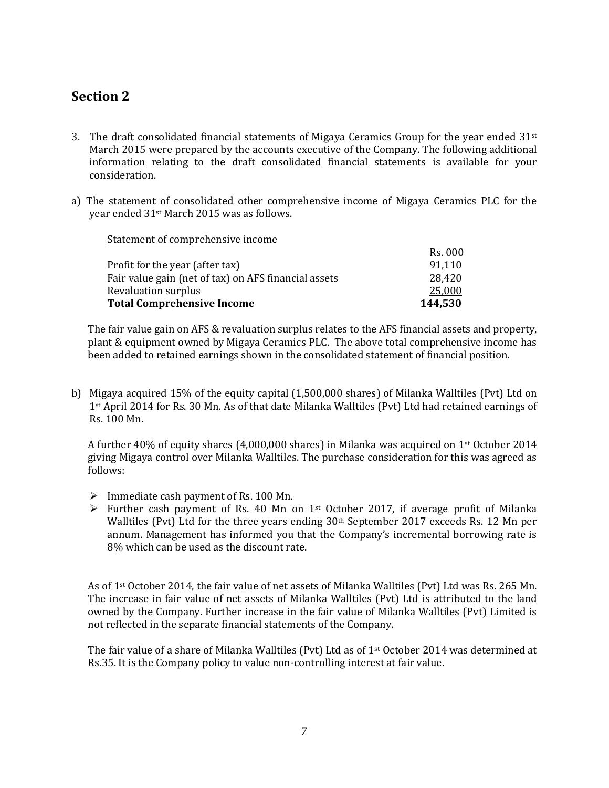## **Section 2**

- 3. The draft consolidated financial statements of Migaya Ceramics Group for the year ended  $31<sup>st</sup>$ March 2015 were prepared by the accounts executive of the Company. The following additional information relating to the draft consolidated financial statements is available for your consideration.
- a) The statement of consolidated other comprehensive income of Migaya Ceramics PLC for the year ended 31st March 2015 was as follows.

| <b>Total Comprehensive Income</b>                    | 144,530 |
|------------------------------------------------------|---------|
| Revaluation surplus                                  | 25,000  |
| Fair value gain (net of tax) on AFS financial assets | 28,420  |
| Profit for the year (after tax)                      | 91.110  |
|                                                      | Rs. 000 |
| Statement of complementing income                    |         |

The fair value gain on AFS & revaluation surplus relates to the AFS financial assets and property, plant & equipment owned by Migaya Ceramics PLC. The above total comprehensive income has been added to retained earnings shown in the consolidated statement of financial position.

b) Migaya acquired 15% of the equity capital (1,500,000 shares) of Milanka Walltiles (Pvt) Ltd on 1st April 2014 for Rs. 30 Mn. As of that date Milanka Walltiles (Pvt) Ltd had retained earnings of Rs. 100 Mn.

A further 40% of equity shares (4,000,000 shares) in Milanka was acquired on 1st October 2014 giving Migaya control over Milanka Walltiles. The purchase consideration for this was agreed as follows:

 $\triangleright$  Immediate cash payment of Rs. 100 Mn.

Statement of comprehensive income

 Further cash payment of Rs. 40 Mn on 1st October 2017, if average profit of Milanka Walltiles (Pvt) Ltd for the three years ending 30th September 2017 exceeds Rs. 12 Mn per annum. Management has informed you that the Company's incremental borrowing rate is 8% which can be used as the discount rate.

As of 1st October 2014, the fair value of net assets of Milanka Walltiles (Pvt) Ltd was Rs. 265 Mn. The increase in fair value of net assets of Milanka Walltiles (Pvt) Ltd is attributed to the land owned by the Company. Further increase in the fair value of Milanka Walltiles (Pvt) Limited is not reflected in the separate financial statements of the Company.

The fair value of a share of Milanka Walltiles (Pvt) Ltd as of 1st October 2014 was determined at Rs.35. It is the Company policy to value non-controlling interest at fair value.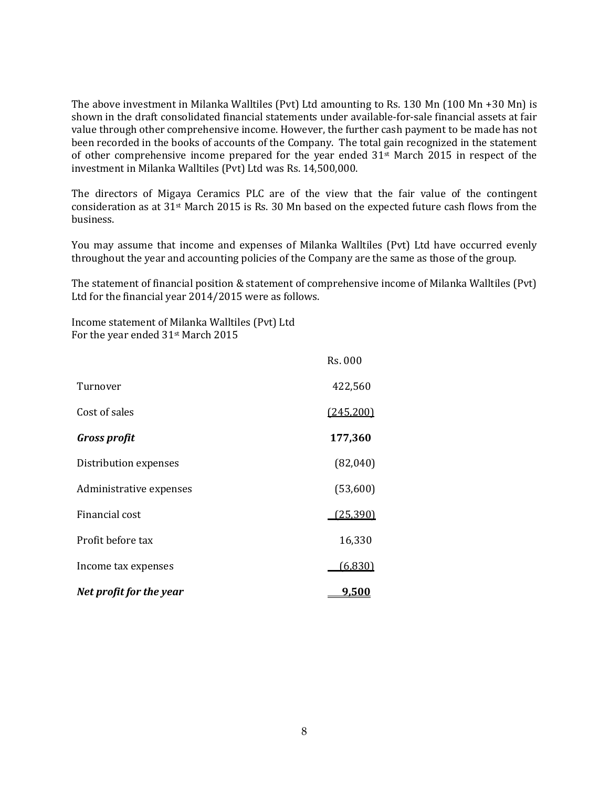The above investment in Milanka Walltiles (Pvt) Ltd amounting to Rs. 130 Mn (100 Mn +30 Mn) is shown in the draft consolidated financial statements under available-for-sale financial assets at fair value through other comprehensive income. However, the further cash payment to be made has not been recorded in the books of accounts of the Company. The total gain recognized in the statement of other comprehensive income prepared for the year ended 31st March 2015 in respect of the investment in Milanka Walltiles (Pvt) Ltd was Rs. 14,500,000.

The directors of Migaya Ceramics PLC are of the view that the fair value of the contingent consideration as at 31st March 2015 is Rs. 30 Mn based on the expected future cash flows from the business.

You may assume that income and expenses of Milanka Walltiles (Pvt) Ltd have occurred evenly throughout the year and accounting policies of the Company are the same as those of the group.

The statement of financial position & statement of comprehensive income of Milanka Walltiles (Pvt) Ltd for the financial year 2014/2015 were as follows.

Income statement of Milanka Walltiles (Pvt) Ltd For the year ended 31st March 2015

|                         | Rs. 000      |
|-------------------------|--------------|
| Turnover                | 422,560      |
| Cost of sales           | (245,200)    |
| <b>Gross profit</b>     | 177,360      |
| Distribution expenses   | (82,040)     |
| Administrative expenses | (53,600)     |
| Financial cost          | (25, 390)    |
| Profit before tax       | 16,330       |
| Income tax expenses     | (6,830)      |
| Net profit for the year | <u>9,500</u> |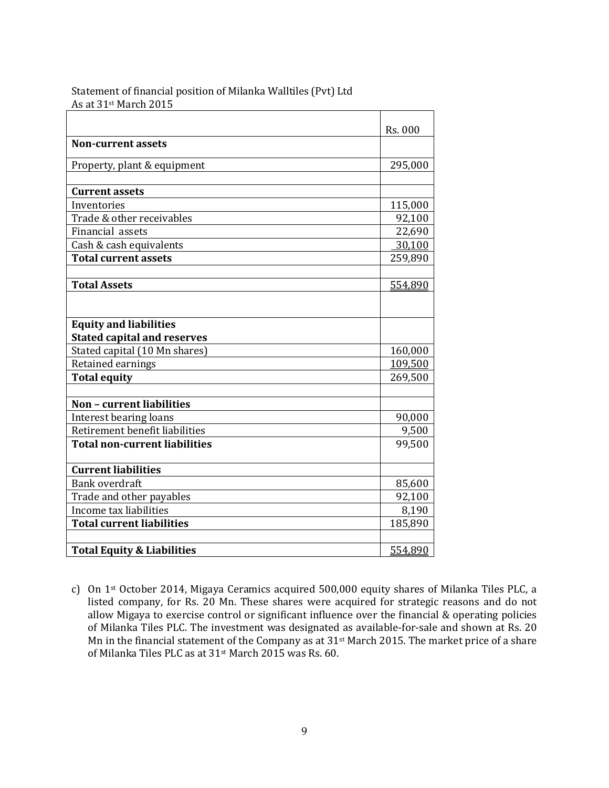|                                       | Rs. 000 |
|---------------------------------------|---------|
| <b>Non-current assets</b>             |         |
| Property, plant & equipment           | 295,000 |
|                                       |         |
| <b>Current assets</b>                 |         |
| Inventories                           | 115,000 |
| Trade & other receivables             | 92,100  |
| Financial assets                      | 22,690  |
| Cash & cash equivalents               | 30,100  |
| <b>Total current assets</b>           | 259,890 |
|                                       |         |
| <b>Total Assets</b>                   | 554,890 |
|                                       |         |
| <b>Equity and liabilities</b>         |         |
| <b>Stated capital and reserves</b>    |         |
| Stated capital (10 Mn shares)         | 160,000 |
| Retained earnings                     | 109,500 |
| <b>Total equity</b>                   | 269,500 |
| Non - current liabilities             |         |
| Interest bearing loans                | 90,000  |
| Retirement benefit liabilities        | 9,500   |
| <b>Total non-current liabilities</b>  | 99,500  |
| <b>Current liabilities</b>            |         |
| <b>Bank overdraft</b>                 | 85,600  |
| Trade and other payables              | 92,100  |
| Income tax liabilities                | 8,190   |
| <b>Total current liabilities</b>      | 185,890 |
|                                       |         |
| <b>Total Equity &amp; Liabilities</b> | 554,890 |

Statement of financial position of Milanka Walltiles (Pvt) Ltd As at 31st March 2015

c) On 1st October 2014, Migaya Ceramics acquired 500,000 equity shares of Milanka Tiles PLC, a listed company, for Rs. 20 Mn. These shares were acquired for strategic reasons and do not allow Migaya to exercise control or significant influence over the financial & operating policies of Milanka Tiles PLC. The investment was designated as available-for-sale and shown at Rs. 20 Mn in the financial statement of the Company as at 31st March 2015. The market price of a share of Milanka Tiles PLC as at 31st March 2015 was Rs. 60.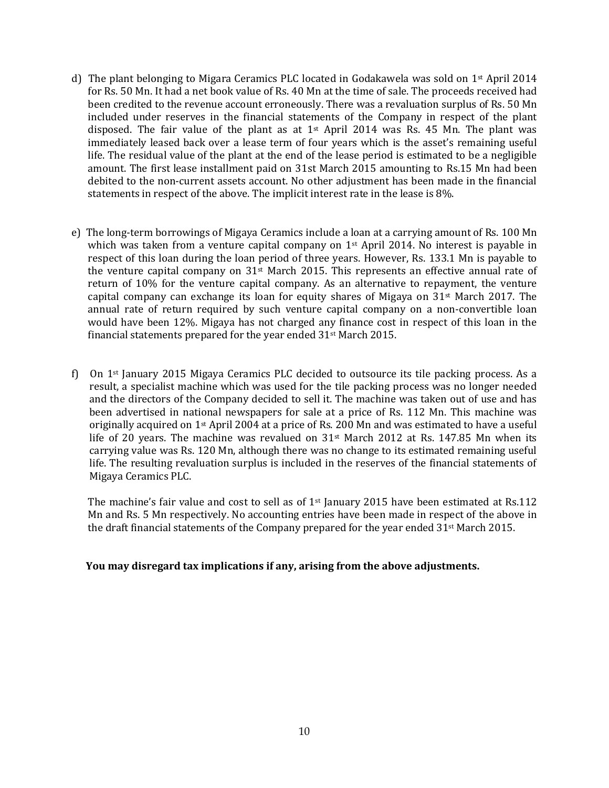- d) The plant belonging to Migara Ceramics PLC located in Godakawela was sold on  $1<sup>st</sup>$  April 2014 for Rs. 50 Mn. It had a net book value of Rs. 40 Mn at the time of sale. The proceeds received had been credited to the revenue account erroneously. There was a revaluation surplus of Rs. 50 Mn included under reserves in the financial statements of the Company in respect of the plant disposed. The fair value of the plant as at  $1<sup>st</sup>$  April 2014 was Rs. 45 Mn. The plant was immediately leased back over a lease term of four years which is the asset's remaining useful life. The residual value of the plant at the end of the lease period is estimated to be a negligible amount. The first lease installment paid on 31st March 2015 amounting to Rs.15 Mn had been debited to the non-current assets account. No other adjustment has been made in the financial statements in respect of the above. The implicit interest rate in the lease is 8%.
- e) The long-term borrowings of Migaya Ceramics include a loan at a carrying amount of Rs. 100 Mn which was taken from a venture capital company on  $1<sup>st</sup>$  April 2014. No interest is payable in respect of this loan during the loan period of three years. However, Rs. 133.1 Mn is payable to the venture capital company on  $31^{st}$  March 2015. This represents an effective annual rate of return of 10% for the venture capital company. As an alternative to repayment, the venture capital company can exchange its loan for equity shares of Migaya on  $31<sup>st</sup>$  March 2017. The annual rate of return required by such venture capital company on a non-convertible loan would have been 12%. Migaya has not charged any finance cost in respect of this loan in the financial statements prepared for the year ended 31st March 2015.
- f) On  $1<sup>st</sup>$  January 2015 Migaya Ceramics PLC decided to outsource its tile packing process. As a result, a specialist machine which was used for the tile packing process was no longer needed and the directors of the Company decided to sell it. The machine was taken out of use and has been advertised in national newspapers for sale at a price of Rs. 112 Mn. This machine was originally acquired on 1st April 2004 at a price of Rs. 200 Mn and was estimated to have a useful life of 20 years. The machine was revalued on 31st March 2012 at Rs. 147.85 Mn when its carrying value was Rs. 120 Mn, although there was no change to its estimated remaining useful life. The resulting revaluation surplus is included in the reserves of the financial statements of Migaya Ceramics PLC.

The machine's fair value and cost to sell as of  $1<sup>st</sup>$  January 2015 have been estimated at Rs.112 Mn and Rs. 5 Mn respectively. No accounting entries have been made in respect of the above in the draft financial statements of the Company prepared for the year ended  $31<sup>st</sup>$  March 2015.

#### **You may disregard tax implications if any, arising from the above adjustments.**